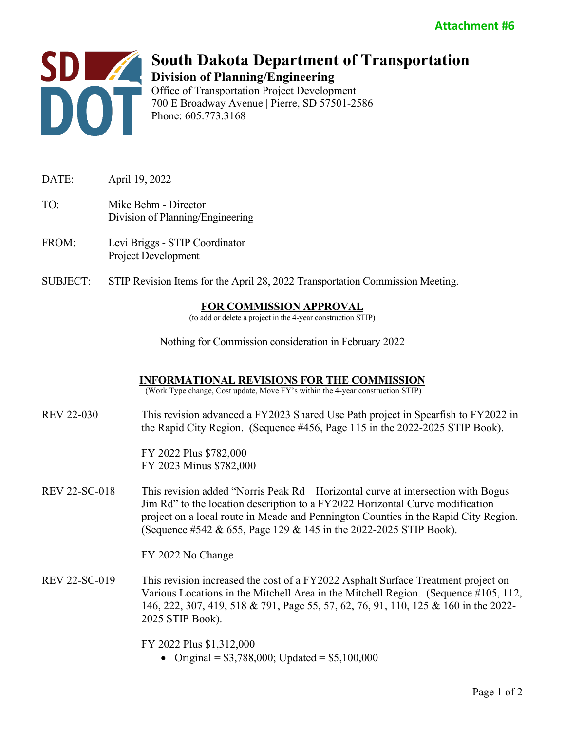

## **South Dakota Department of Transportation Division of Planning/Engineering** Office of Transportation Project Development

700 E Broadway Avenue | Pierre, SD 57501-2586 Phone: 605.773.3168

- DATE: April 19, 2022 TO: Mike Behm - Director Division of Planning/Engineering
- FROM: Levi Briggs STIP Coordinator Project Development
- SUBJECT: STIP Revision Items for the April 28, 2022 Transportation Commission Meeting.

## **FOR COMMISSION APPROVAL**

(to add or delete a project in the 4-year construction STIP)

Nothing for Commission consideration in February 2022

## **INFORMATIONAL REVISIONS FOR THE COMMISSION**

(Work Type change, Cost update, Move FY's within the 4-year construction STIP)

REV 22-030 This revision advanced a FY2023 Shared Use Path project in Spearfish to FY2022 in the Rapid City Region. (Sequence #456, Page 115 in the 2022-2025 STIP Book).

> FY 2022 Plus \$782,000 FY 2023 Minus \$782,000

REV 22-SC-018 This revision added "Norris Peak Rd – Horizontal curve at intersection with Bogus Jim Rd" to the location description to a FY2022 Horizontal Curve modification project on a local route in Meade and Pennington Counties in the Rapid City Region. (Sequence #542 & 655, Page 129 & 145 in the 2022-2025 STIP Book).

FY 2022 No Change

REV 22-SC-019 This revision increased the cost of a FY2022 Asphalt Surface Treatment project on Various Locations in the Mitchell Area in the Mitchell Region. (Sequence #105, 112, 146, 222, 307, 419, 518 & 791, Page 55, 57, 62, 76, 91, 110, 125 & 160 in the 2022- 2025 STIP Book).

FY 2022 Plus \$1,312,000

• Original =  $$3,788,000$ ; Updated =  $$5,100,000$